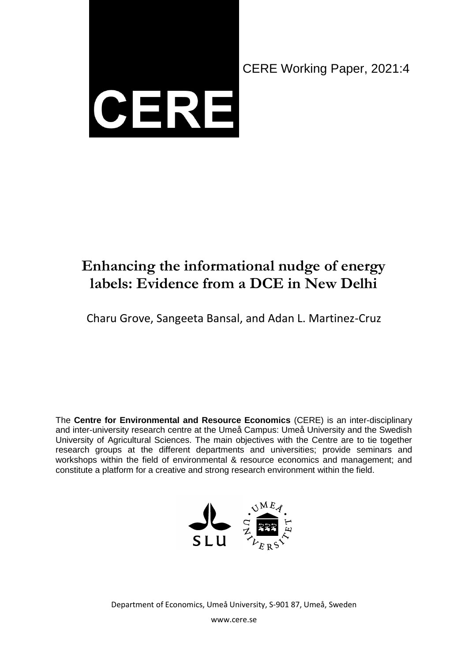

CERE Working Paper, 2021:4

# **Enhancing the informational nudge of energy labels: Evidence from a DCE in New Delhi**

Charu Grove, Sangeeta Bansal, and Adan L. Martinez-Cruz

The **Centre for Environmental and Resource Economics** (CERE) is an inter-disciplinary and inter-university research centre at the Umeå Campus: Umeå University and the Swedish University of Agricultural Sciences. The main objectives with the Centre are to tie together research groups at the different departments and universities; provide seminars and workshops within the field of environmental & resource economics and management; and constitute a platform for a creative and strong research environment within the field.



Department of Economics, Umeå University, S-901 87, Umeå, Sweden

www.cere.se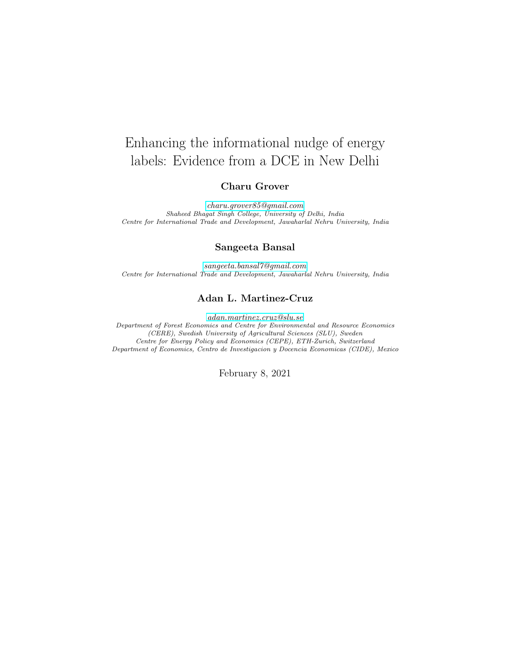# Enhancing the informational nudge of energy labels: Evidence from a DCE in New Delhi

#### Charu Grover

[charu.grover85@gmail.com](mailto:charu.grover85@gmail.com) Shaheed Bhagat Singh College, University of Delhi, India Centre for International Trade and Development, Jawaharlal Nehru University, India

#### Sangeeta Bansal

[sangeeta.bansal7@gmail.com](mailto:sangeeta.bansal7@gmail.com) Centre for International Trade and Development, Jawaharlal Nehru University, India

#### Adan L. Martinez-Cruz

[adan.martinez.cruz@slu.se](mailto:adan.martinez.cruz@slu.se) Department of Forest Economics and Centre for Environmental and Resource Economics (CERE), Swedish University of Agricultural Sciences (SLU), Sweden Centre for Energy Policy and Economics (CEPE), ETH-Zurich, Switzerland Department of Economics, Centro de Investigacion y Docencia Economicas (CIDE), Mexico

February 8, 2021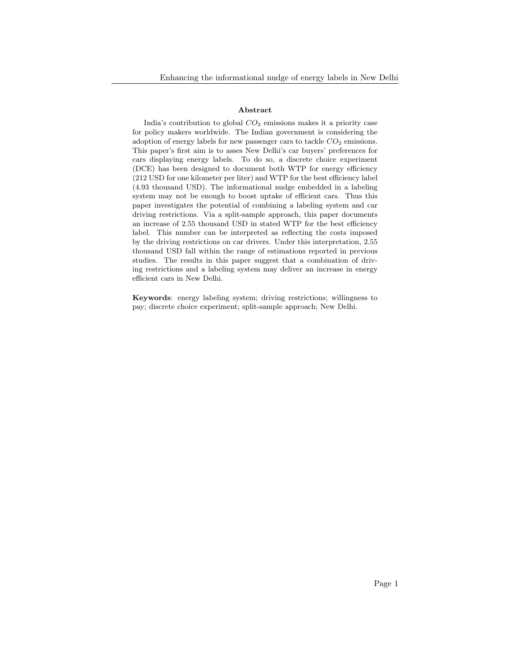#### Abstract

India's contribution to global  $CO<sub>2</sub>$  emissions makes it a priority case for policy makers worldwide. The Indian government is considering the adoption of energy labels for new passenger cars to tackle  $CO<sub>2</sub>$  emissions. This paper's first aim is to asses New Delhi's car buyers' preferences for cars displaying energy labels. To do so, a discrete choice experiment (DCE) has been designed to document both WTP for energy efficiency (212 USD for one kilometer per liter) and WTP for the best efficiency label (4.93 thousand USD). The informational nudge embedded in a labeling system may not be enough to boost uptake of efficient cars. Thus this paper investigates the potential of combining a labeling system and car driving restrictions. Via a split-sample approach, this paper documents an increase of 2.55 thousand USD in stated WTP for the best efficiency label. This number can be interpreted as reflecting the costs imposed by the driving restrictions on car drivers. Under this interpretation, 2.55 thousand USD fall within the range of estimations reported in previous studies. The results in this paper suggest that a combination of driving restrictions and a labeling system may deliver an increase in energy efficient cars in New Delhi.

Keywords: energy labeling system; driving restrictions; willingness to pay; discrete choice experiment; split-sample approach; New Delhi.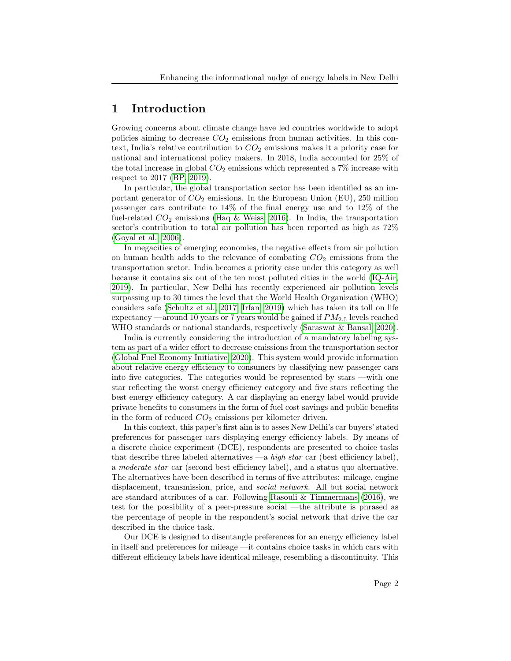## 1 Introduction

Growing concerns about climate change have led countries worldwide to adopt policies aiming to decrease  $CO<sub>2</sub>$  emissions from human activities. In this context, India's relative contribution to  $CO<sub>2</sub>$  emissions makes it a priority case for national and international policy makers. In 2018, India accounted for 25% of the total increase in global  $CO<sub>2</sub>$  emissions which represented a  $7\%$  increase with respect to 2017 [\(BP, 2019\)](#page-19-0).

In particular, the global transportation sector has been identified as an important generator of  $CO<sub>2</sub>$  emissions. In the European Union (EU), 250 million passenger cars contribute to 14% of the final energy use and to 12% of the fuel-related  $CO<sub>2</sub>$  emissions [\(Haq & Weiss, 2016\)](#page-21-0). In India, the transportation sector's contribution to total air pollution has been reported as high as 72% [\(Goyal et al., 2006\)](#page-20-0).

In megacities of emerging economies, the negative effects from air pollution on human health adds to the relevance of combating  $CO<sub>2</sub>$  emissions from the transportation sector. India becomes a priority case under this category as well because it contains six out of the ten most polluted cities in the world [\(IQ-Air,](#page-21-1) [2019\)](#page-21-1). In particular, New Delhi has recently experienced air pollution levels surpassing up to 30 times the level that the World Health Organization (WHO) considers safe [\(Schultz et al., 2017;](#page-22-0) [Irfan, 2019\)](#page-21-2) which has taken its toll on life expectancy —around 10 years or 7 years would be gained if  $PM_{2.5}$  levels reached WHO standards or national standards, respectively [\(Saraswat & Bansal, 2020\)](#page-22-1).

India is currently considering the introduction of a mandatory labeling system as part of a wider effort to decrease emissions from the transportation sector [\(Global Fuel Economy Initiative, 2020\)](#page-20-1). This system would provide information about relative energy efficiency to consumers by classifying new passenger cars into five categories. The categories would be represented by stars —with one star reflecting the worst energy efficiency category and five stars reflecting the best energy efficiency category. A car displaying an energy label would provide private benefits to consumers in the form of fuel cost savings and public benefits in the form of reduced  $CO<sub>2</sub>$  emissions per kilometer driven.

In this context, this paper's first aim is to asses New Delhi's car buyers' stated preferences for passenger cars displaying energy efficiency labels. By means of a discrete choice experiment (DCE), respondents are presented to choice tasks that describe three labeled alternatives —a *high star* car (best efficiency label), a moderate star car (second best efficiency label), and a status quo alternative. The alternatives have been described in terms of five attributes: mileage, engine displacement, transmission, price, and social network. All but social network are standard attributes of a car. Following [Rasouli & Timmermans](#page-22-2) [\(2016\)](#page-22-2), we test for the possibility of a peer-pressure social —the attribute is phrased as the percentage of people in the respondent's social network that drive the car described in the choice task.

Our DCE is designed to disentangle preferences for an energy efficiency label in itself and preferences for mileage —it contains choice tasks in which cars with different efficiency labels have identical mileage, resembling a discontinuity. This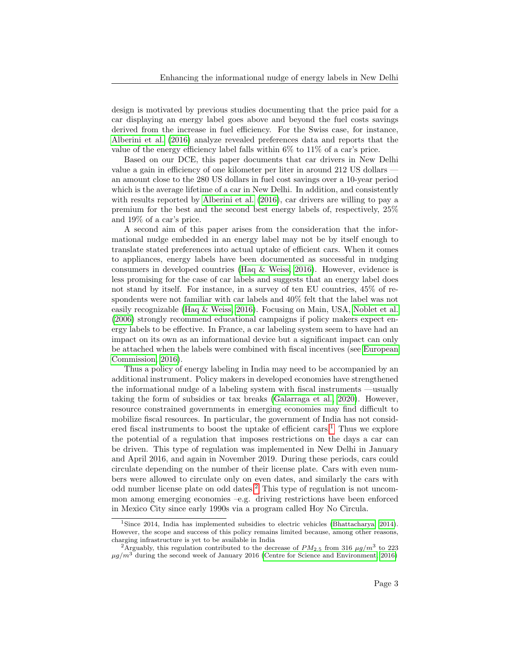design is motivated by previous studies documenting that the price paid for a car displaying an energy label goes above and beyond the fuel costs savings derived from the increase in fuel efficiency. For the Swiss case, for instance, [Alberini et al.](#page-19-1) [\(2016\)](#page-19-1) analyze revealed preferences data and reports that the value of the energy efficiency label falls within  $6\%$  to  $11\%$  of a car's price.

Based on our DCE, this paper documents that car drivers in New Delhi value a gain in efficiency of one kilometer per liter in around 212 US dollars an amount close to the 280 US dollars in fuel cost savings over a 10-year period which is the average lifetime of a car in New Delhi. In addition, and consistently with results reported by [Alberini et al.](#page-19-1) [\(2016\)](#page-19-1), car drivers are willing to pay a premium for the best and the second best energy labels of, respectively, 25% and 19% of a car's price.

A second aim of this paper arises from the consideration that the informational nudge embedded in an energy label may not be by itself enough to translate stated preferences into actual uptake of efficient cars. When it comes to appliances, energy labels have been documented as successful in nudging consumers in developed countries [\(Haq & Weiss, 2016\)](#page-21-0). However, evidence is less promising for the case of car labels and suggests that an energy label does not stand by itself. For instance, in a survey of ten EU countries, 45% of respondents were not familiar with car labels and 40% felt that the label was not easily recognizable [\(Haq & Weiss, 2016\)](#page-21-0). Focusing on Main, USA, [Noblet et al.](#page-21-3) [\(2006\)](#page-21-3) strongly recommend educational campaigns if policy makers expect energy labels to be effective. In France, a car labeling system seem to have had an impact on its own as an informational device but a significant impact can only be attached when the labels were combined with fiscal incentives (see [European](#page-20-2) [Commission, 2016\)](#page-20-2).

Thus a policy of energy labeling in India may need to be accompanied by an additional instrument. Policy makers in developed economies have strengthened the informational nudge of a labeling system with fiscal instruments —usually taking the form of subsidies or tax breaks [\(Galarraga et al., 2020\)](#page-20-3). However, resource constrained governments in emerging economies may find difficult to mobilize fiscal resources. In particular, the government of India has not consid-ered fiscal instruments to boost the uptake of efficient cars.<sup>[1](#page-4-0)</sup> Thus we explore the potential of a regulation that imposes restrictions on the days a car can be driven. This type of regulation was implemented in New Delhi in January and April 2016, and again in November 2019. During these periods, cars could circulate depending on the number of their license plate. Cars with even numbers were allowed to circulate only on even dates, and similarly the cars with odd number license plate on odd dates.[2](#page-4-1) This type of regulation is not uncommon among emerging economies –e.g. driving restrictions have been enforced in Mexico City since early 1990s via a program called Hoy No Circula.

<span id="page-4-0"></span><sup>&</sup>lt;sup>1</sup>Since 2014, India has implemented subsidies to electric vehicles [\(Bhattacharya, 2014\)](#page-19-2). However, the scope and success of this policy remains limited because, among other reasons, charging infrastructure is yet to be available in India

<span id="page-4-1"></span><sup>&</sup>lt;sup>2</sup>Arguably, this regulation contributed to the decrease of  $PM_{2.5}$  from 316  $\mu g/m^3$  to 223  $\mu g/m^3$  during the second week of January 2016 [\(Centre for Science and Environment, 2016\)](#page-20-4)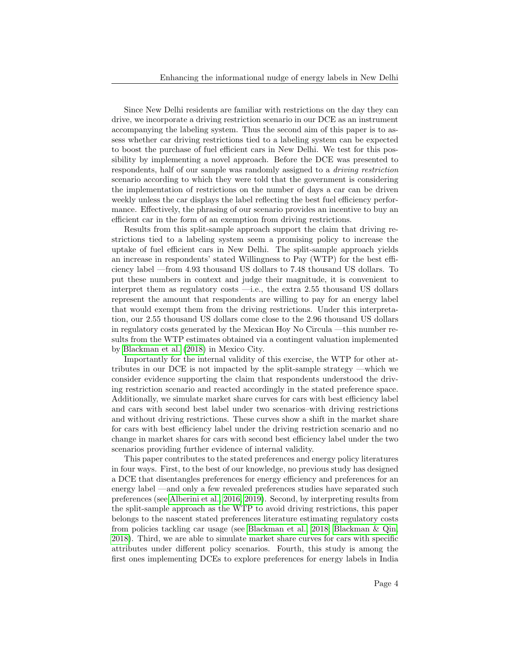Since New Delhi residents are familiar with restrictions on the day they can drive, we incorporate a driving restriction scenario in our DCE as an instrument accompanying the labeling system. Thus the second aim of this paper is to assess whether car driving restrictions tied to a labeling system can be expected to boost the purchase of fuel efficient cars in New Delhi. We test for this possibility by implementing a novel approach. Before the DCE was presented to respondents, half of our sample was randomly assigned to a driving restriction scenario according to which they were told that the government is considering the implementation of restrictions on the number of days a car can be driven weekly unless the car displays the label reflecting the best fuel efficiency performance. Effectively, the phrasing of our scenario provides an incentive to buy an efficient car in the form of an exemption from driving restrictions.

Results from this split-sample approach support the claim that driving restrictions tied to a labeling system seem a promising policy to increase the uptake of fuel efficient cars in New Delhi. The split-sample approach yields an increase in respondents' stated Willingness to Pay (WTP) for the best efficiency label —from 4.93 thousand US dollars to 7.48 thousand US dollars. To put these numbers in context and judge their magnitude, it is convenient to interpret them as regulatory costs —i.e., the extra 2.55 thousand US dollars represent the amount that respondents are willing to pay for an energy label that would exempt them from the driving restrictions. Under this interpretation, our 2.55 thousand US dollars come close to the 2.96 thousand US dollars in regulatory costs generated by the Mexican Hoy No Circula —this number results from the WTP estimates obtained via a contingent valuation implemented by [Blackman et al.](#page-19-3) [\(2018\)](#page-19-3) in Mexico City.

Importantly for the internal validity of this exercise, the WTP for other attributes in our DCE is not impacted by the split-sample strategy —which we consider evidence supporting the claim that respondents understood the driving restriction scenario and reacted accordingly in the stated preference space. Additionally, we simulate market share curves for cars with best efficiency label and cars with second best label under two scenarios–with driving restrictions and without driving restrictions. These curves show a shift in the market share for cars with best efficiency label under the driving restriction scenario and no change in market shares for cars with second best efficiency label under the two scenarios providing further evidence of internal validity.

This paper contributes to the stated preferences and energy policy literatures in four ways. First, to the best of our knowledge, no previous study has designed a DCE that disentangles preferences for energy efficiency and preferences for an energy label —and only a few revealed preferences studies have separated such preferences (see [Alberini et al., 2016,](#page-19-1) [2019\)](#page-19-4). Second, by interpreting results from the split-sample approach as the WTP to avoid driving restrictions, this paper belongs to the nascent stated preferences literature estimating regulatory costs from policies tackling car usage (see [Blackman et al., 2018;](#page-19-3) [Blackman & Qin,](#page-19-5) [2018\)](#page-19-5). Third, we are able to simulate market share curves for cars with specific attributes under different policy scenarios. Fourth, this study is among the first ones implementing DCEs to explore preferences for energy labels in India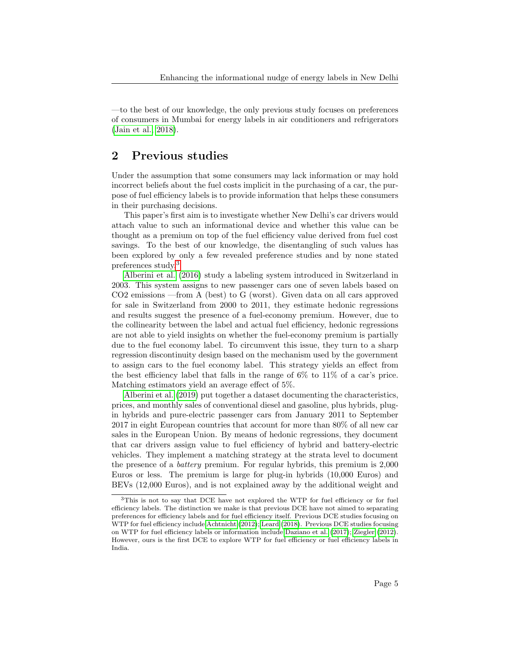—to the best of our knowledge, the only previous study focuses on preferences of consumers in Mumbai for energy labels in air conditioners and refrigerators [\(Jain et al., 2018\)](#page-21-4).

## 2 Previous studies

Under the assumption that some consumers may lack information or may hold incorrect beliefs about the fuel costs implicit in the purchasing of a car, the purpose of fuel efficiency labels is to provide information that helps these consumers in their purchasing decisions.

This paper's first aim is to investigate whether New Delhi's car drivers would attach value to such an informational device and whether this value can be thought as a premium on top of the fuel efficiency value derived from fuel cost savings. To the best of our knowledge, the disentangling of such values has been explored by only a few revealed preference studies and by none stated preferences study.[3](#page-6-0)

[Alberini et al.](#page-19-1) [\(2016\)](#page-19-1) study a labeling system introduced in Switzerland in 2003. This system assigns to new passenger cars one of seven labels based on CO2 emissions —from A (best) to G (worst). Given data on all cars approved for sale in Switzerland from 2000 to 2011, they estimate hedonic regressions and results suggest the presence of a fuel-economy premium. However, due to the collinearity between the label and actual fuel efficiency, hedonic regressions are not able to yield insights on whether the fuel-economy premium is partially due to the fuel economy label. To circumvent this issue, they turn to a sharp regression discontinuity design based on the mechanism used by the government to assign cars to the fuel economy label. This strategy yields an effect from the best efficiency label that falls in the range of 6% to 11% of a car's price. Matching estimators yield an average effect of 5%.

[Alberini et al.](#page-19-4) [\(2019\)](#page-19-4) put together a dataset documenting the characteristics, prices, and monthly sales of conventional diesel and gasoline, plus hybrids, plugin hybrids and pure-electric passenger cars from January 2011 to September 2017 in eight European countries that account for more than 80% of all new car sales in the European Union. By means of hedonic regressions, they document that car drivers assign value to fuel efficiency of hybrid and battery-electric vehicles. They implement a matching strategy at the strata level to document the presence of a battery premium. For regular hybrids, this premium is 2,000 Euros or less. The premium is large for plug-in hybrids (10,000 Euros) and BEVs (12,000 Euros), and is not explained away by the additional weight and

<span id="page-6-0"></span><sup>&</sup>lt;sup>3</sup>This is not to say that DCE have not explored the WTP for fuel efficiency or for fuel efficiency labels. The distinction we make is that previous DCE have not aimed to separating preferences for efficiency labels and for fuel efficiency itself. Previous DCE studies focusing on WTP for fuel efficiency include [Achtnicht](#page-19-6) [\(2012\)](#page-19-6); [Leard](#page-21-5) [\(2018\)](#page-21-5). Previous DCE studies focusing on WTP for fuel efficiency labels or information include [Daziano et al.](#page-20-5) [\(2017\)](#page-20-5); [Ziegler](#page-22-3) [\(2012\)](#page-22-3). However, ours is the first DCE to explore WTP for fuel efficiency or fuel efficiency labels in India.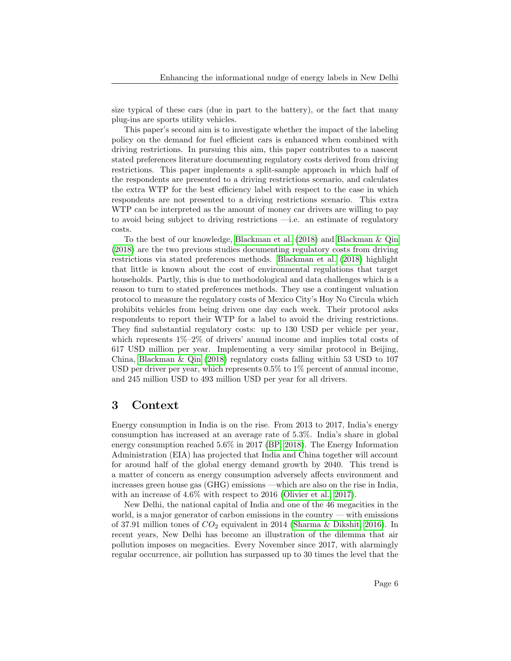size typical of these cars (due in part to the battery), or the fact that many plug-ins are sports utility vehicles.

This paper's second aim is to investigate whether the impact of the labeling policy on the demand for fuel efficient cars is enhanced when combined with driving restrictions. In pursuing this aim, this paper contributes to a nascent stated preferences literature documenting regulatory costs derived from driving restrictions. This paper implements a split-sample approach in which half of the respondents are presented to a driving restrictions scenario, and calculates the extra WTP for the best efficiency label with respect to the case in which respondents are not presented to a driving restrictions scenario. This extra WTP can be interpreted as the amount of money car drivers are willing to pay to avoid being subject to driving restrictions —i.e. an estimate of regulatory costs.

To the best of our knowledge, [Blackman et al.](#page-19-3) [\(2018\)](#page-19-3) and [Blackman & Qin](#page-19-5) [\(2018\)](#page-19-5) are the two previous studies documenting regulatory costs from driving restrictions via stated preferences methods. [Blackman et al.](#page-19-3) [\(2018\)](#page-19-3) highlight that little is known about the cost of environmental regulations that target households. Partly, this is due to methodological and data challenges which is a reason to turn to stated preferences methods. They use a contingent valuation protocol to measure the regulatory costs of Mexico City's Hoy No Circula which prohibits vehicles from being driven one day each week. Their protocol asks respondents to report their WTP for a label to avoid the driving restrictions. They find substantial regulatory costs: up to 130 USD per vehicle per year, which represents  $1\% - 2\%$  of drivers' annual income and implies total costs of 617 USD million per year. Implementing a very similar protocol in Beijing, China, [Blackman & Qin](#page-19-5)  $(2018)$  regulatory costs falling within 53 USD to 107 USD per driver per year, which represents  $0.5\%$  to  $1\%$  percent of annual income, and 245 million USD to 493 million USD per year for all drivers.

## 3 Context

Energy consumption in India is on the rise. From 2013 to 2017, India's energy consumption has increased at an average rate of 5.3%. India's share in global energy consumption reached 5.6% in 2017 [\(BP, 2018\)](#page-19-7). The Energy Information Administration (EIA) has projected that India and China together will account for around half of the global energy demand growth by 2040. This trend is a matter of concern as energy consumption adversely affects environment and increases green house gas (GHG) emissions —which are also on the rise in India, with an increase of 4.6% with respect to 2016 [\(Olivier et al., 2017\)](#page-21-6).

New Delhi, the national capital of India and one of the 46 megacities in the world, is a major generator of carbon emissions in the country — with emissions of 37.91 million tones of  $CO<sub>2</sub>$  equivalent in 2014 [\(Sharma & Dikshit, 2016\)](#page-22-4). In recent years, New Delhi has become an illustration of the dilemma that air pollution imposes on megacities. Every November since 2017, with alarmingly regular occurrence, air pollution has surpassed up to 30 times the level that the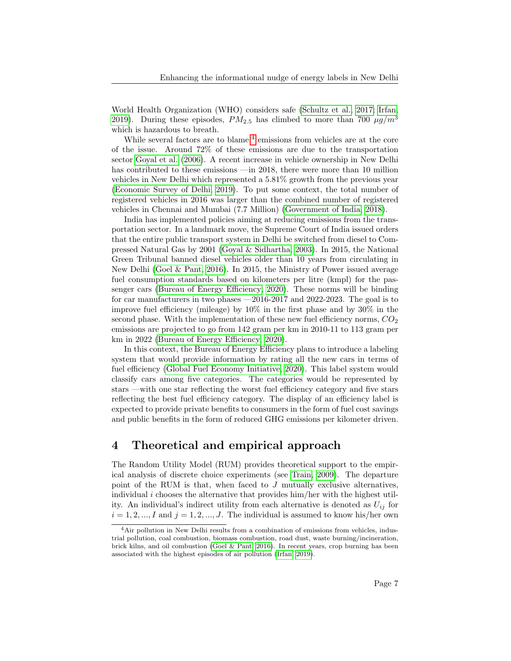World Health Organization (WHO) considers safe [\(Schultz et al., 2017;](#page-22-0) [Irfan,](#page-21-2) [2019\)](#page-21-2). During these episodes,  $PM_{2.5}$  has climbed to more than 700  $\mu g/m^3$ which is hazardous to breath.

While several factors are to blame,<sup>[4](#page-8-0)</sup> emissions from vehicles are at the core of the issue. Around 72% of these emissions are due to the transportation sector [Goyal et al.](#page-20-0) [\(2006\)](#page-20-0). A recent increase in vehicle ownership in New Delhi has contributed to these emissions —in 2018, there were more than 10 million vehicles in New Delhi which represented a 5.81% growth from the previous year [\(Economic Survey of Delhi, 2019\)](#page-20-6). To put some context, the total number of registered vehicles in 2016 was larger than the combined number of registered vehicles in Chennai and Mumbai (7.7 Million) [\(Government of India, 2018\)](#page-20-7).

India has implemented policies aiming at reducing emissions from the transportation sector. In a landmark move, the Supreme Court of India issued orders that the entire public transport system in Delhi be switched from diesel to Compressed Natural Gas by 2001 [\(Goyal & Sidhartha, 2003\)](#page-20-8). In 2015, the National Green Tribunal banned diesel vehicles older than 10 years from circulating in New Delhi [\(Goel & Pant, 2016\)](#page-20-9). In 2015, the Ministry of Power issued average fuel consumption standards based on kilometers per litre (kmpl) for the passenger cars [\(Bureau of Energy Efficiency, 2020\)](#page-19-8). These norms will be binding for car manufacturers in two phases —2016-2017 and 2022-2023. The goal is to improve fuel efficiency (mileage) by 10% in the first phase and by 30% in the second phase. With the implementation of these new fuel efficiency norms,  $CO<sub>2</sub>$ emissions are projected to go from 142 gram per km in 2010-11 to 113 gram per km in 2022 [\(Bureau of Energy Efficiency, 2020\)](#page-19-8).

In this context, the Bureau of Energy Efficiency plans to introduce a labeling system that would provide information by rating all the new cars in terms of fuel efficiency [\(Global Fuel Economy Initiative, 2020\)](#page-20-1). This label system would classify cars among five categories. The categories would be represented by stars —with one star reflecting the worst fuel efficiency category and five stars reflecting the best fuel efficiency category. The display of an efficiency label is expected to provide private benefits to consumers in the form of fuel cost savings and public benefits in the form of reduced GHG emissions per kilometer driven.

## 4 Theoretical and empirical approach

The Random Utility Model (RUM) provides theoretical support to the empirical analysis of discrete choice experiments (see [Train, 2009\)](#page-22-5). The departure point of the RUM is that, when faced to J mutually exclusive alternatives, individual  $i$  chooses the alternative that provides him/her with the highest utility. An individual's indirect utility from each alternative is denoted as  $U_{ij}$  for  $i = 1, 2, ..., I$  and  $j = 1, 2, ..., J$ . The individual is assumed to know his/her own

<span id="page-8-0"></span><sup>4</sup>Air pollution in New Delhi results from a combination of emissions from vehicles, industrial pollution, coal combustion, biomass combustion, road dust, waste burning/incineration, brick kilns, and oil combustion [\(Goel & Pant, 2016\)](#page-20-9). In recent years, crop burning has been associated with the highest episodes of air pollution [\(Irfan, 2019\)](#page-21-2).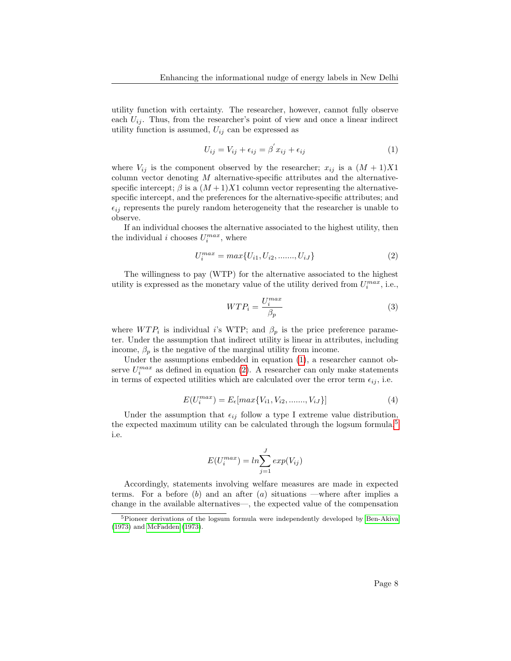utility function with certainty. The researcher, however, cannot fully observe each  $U_{ij}$ . Thus, from the researcher's point of view and once a linear indirect utility function is assumed,  $U_{ij}$  can be expressed as

<span id="page-9-0"></span>
$$
U_{ij} = V_{ij} + \epsilon_{ij} = \beta' x_{ij} + \epsilon_{ij}
$$
\n(1)

where  $V_{ij}$  is the component observed by the researcher;  $x_{ij}$  is a  $(M + 1)X1$ column vector denoting  $M$  alternative-specific attributes and the alternativespecific intercept;  $\beta$  is a  $(M+1)X1$  column vector representing the alternativespecific intercept, and the preferences for the alternative-specific attributes; and  $\epsilon_{ij}$  represents the purely random heterogeneity that the researcher is unable to observe.

If an individual chooses the alternative associated to the highest utility, then the individual *i* chooses  $U_i^{max}$ , where

<span id="page-9-1"></span>
$$
U_i^{max} = max\{U_{i1}, U_{i2}, \dots, U_{iJ}\}
$$
 (2)

The willingness to pay (WTP) for the alternative associated to the highest utility is expressed as the monetary value of the utility derived from  $U_i^{max}$ , i.e.,

$$
WTP_i = \frac{U_i^{max}}{\beta_p} \tag{3}
$$

where  $WTP_i$  is individual i's WTP; and  $\beta_p$  is the price preference parameter. Under the assumption that indirect utility is linear in attributes, including income,  $\beta_p$  is the negative of the marginal utility from income.

Under the assumptions embedded in equation [\(1\)](#page-9-0), a researcher cannot observe  $U_i^{max}$  as defined in equation [\(2\)](#page-9-1). A researcher can only make statements in terms of expected utilities which are calculated over the error term  $\epsilon_{ij}$ , i.e.

$$
E(U_i^{max}) = E_{\epsilon}[max\{V_{i1}, V_{i2}, \dots, V_{iJ}\}]
$$
\n(4)

Under the assumption that  $\epsilon_{ij}$  follow a type I extreme value distribution, the expected maximum utility can be calculated through the logsum formula, $5$ i.e.

<span id="page-9-3"></span>
$$
E(U_i^{max}) = ln \sum_{j=1}^{J} exp(V_{ij})
$$

Accordingly, statements involving welfare measures are made in expected terms. For a before  $(b)$  and an after  $(a)$  situations —where after implies a change in the available alternatives—, the expected value of the compensation

<span id="page-9-2"></span><sup>5</sup>Pioneer derivations of the logsum formula were independently developed by [Ben-Akiva](#page-19-9) [\(1973\)](#page-19-9) and [McFadden](#page-21-7) [\(1973\)](#page-21-7).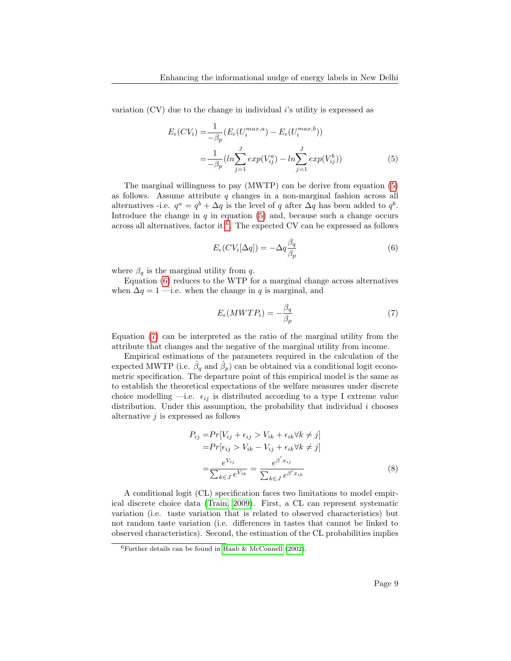variation  $(CV)$  due to the change in individual i's utility is expressed as

$$
E_{\epsilon}(CV_i) = \frac{1}{-\beta_p} (E_{\epsilon}(U_i^{max,a}) - E_{\epsilon}(U_i^{max,b}))
$$
  
= 
$$
\frac{1}{-\beta_p} (ln \sum_{j=1}^{J} exp(V_{ij}^a) - ln \sum_{j=1}^{J} exp(V_{ij}^b))
$$
 (5)

The marginal willingness to pay (MWTP) can be derive from equation [\(5\)](#page-9-3) as follows. Assume attribute  $q$  changes in a non-marginal fashion across all alternatives -i.e.  $q^a = q^b + \Delta q$  is the level of q after  $\Delta q$  has been added to  $q^b$ . Introduce the change in  $q$  in equation  $(5)$  and, because such a change occurs across all alternatives, factor it <sup>[6](#page-10-0)</sup>. The expected CV can be expressed as follows

<span id="page-10-1"></span>
$$
E_{\epsilon}(CV_i[\Delta q]) = -\Delta q \frac{\beta_q}{\beta_p} \tag{6}
$$

where  $\beta_q$  is the marginal utility from q.

Equation [\(6\)](#page-10-1) reduces to the WTP for a marginal change across alternatives when  $\Delta q = 1$  —i.e. when the change in q is marginal, and

<span id="page-10-2"></span>
$$
E_{\epsilon}(MWTP_i) = -\frac{\beta_q}{\beta_p} \tag{7}
$$

Equation [\(7\)](#page-10-2) can be interpreted as the ratio of the marginal utility from the attribute that changes and the negative of the marginal utility from income.

Empirical estimations of the parameters required in the calculation of the expected MWTP (i.e.  $\hat{\beta}_q$  and  $\hat{\beta}_p$ ) can be obtained via a conditional logit econometric specification. The departure point of this empirical model is the same as to establish the theoretical expectations of the welfare measures under discrete choice modelling  $\rightarrow$ i.e.  $\epsilon_{ij}$  is distributed according to a type I extreme value distribution. Under this assumption, the probability that individual  $i$  chooses alternative  $i$  is expressed as follows

<span id="page-10-3"></span>
$$
P_{ij} = Pr[V_{ij} + \epsilon_{ij} > V_{ik} + \epsilon_{ik} \forall k \neq j]
$$
  
\n
$$
= Pr[\epsilon_{ij} > V_{ik} - V_{ij} + \epsilon_{ik} \forall k \neq j]
$$
  
\n
$$
= \frac{e^{V_{ij}}}{\sum_{k \in J} e^{V_{ik}}} = \frac{e^{\beta' x_{ij}}}{\sum_{k \in J} e^{\beta' x_{ik}}}
$$
 (8)

A conditional logit (CL) specification faces two limitations to model empirical discrete choice data [\(Train, 2009\)](#page-22-5). First, a CL can represent systematic variation (i.e. taste variation that is related to observed characteristics) but not random taste variation (i.e. differences in tastes that cannot be linked to observed characteristics). Second, the estimation of the CL probabilities implies

<span id="page-10-0"></span> $6$ Further details can be found in [Haab & McConnell](#page-21-8) [\(2002\)](#page-21-8).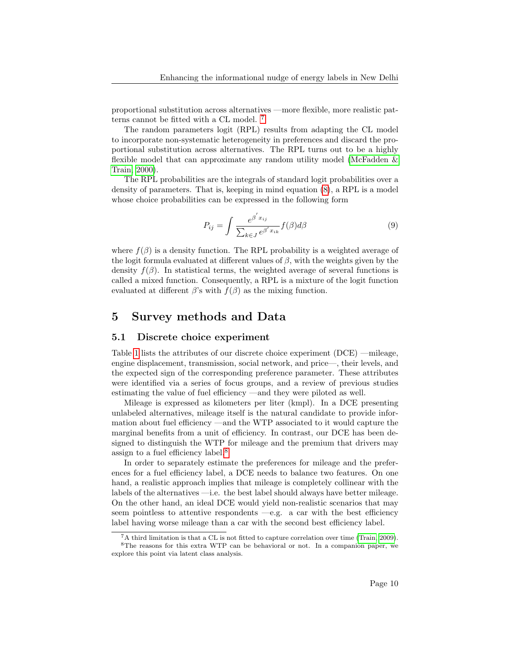proportional substitution across alternatives —more flexible, more realistic patterns cannot be fitted with a CL model. [7](#page-11-0)

The random parameters logit (RPL) results from adapting the CL model to incorporate non-systematic heterogeneity in preferences and discard the proportional substitution across alternatives. The RPL turns out to be a highly flexible model that can approximate any random utility model [\(McFadden &](#page-21-9) [Train, 2000\)](#page-21-9).

The RPL probabilities are the integrals of standard logit probabilities over a density of parameters. That is, keeping in mind equation [\(8\)](#page-10-3), a RPL is a model whose choice probabilities can be expressed in the following form

<span id="page-11-2"></span>
$$
P_{ij} = \int \frac{e^{\beta' x_{ij}}}{\sum_{k \in J} e^{\beta' x_{ik}}} f(\beta) d\beta \tag{9}
$$

where  $f(\beta)$  is a density function. The RPL probability is a weighted average of the logit formula evaluated at different values of  $\beta$ , with the weights given by the density  $f(\beta)$ . In statistical terms, the weighted average of several functions is called a mixed function. Consequently, a RPL is a mixture of the logit function evaluated at different  $\beta$ 's with  $f(\beta)$  as the mixing function.

## 5 Survey methods and Data

#### 5.1 Discrete choice experiment

Table [1](#page-23-0) lists the attributes of our discrete choice experiment (DCE) —mileage, engine displacement, transmission, social network, and price—, their levels, and the expected sign of the corresponding preference parameter. These attributes were identified via a series of focus groups, and a review of previous studies estimating the value of fuel efficiency —and they were piloted as well.

Mileage is expressed as kilometers per liter (kmpl). In a DCE presenting unlabeled alternatives, mileage itself is the natural candidate to provide information about fuel efficiency —and the WTP associated to it would capture the marginal benefits from a unit of efficiency. In contrast, our DCE has been designed to distinguish the WTP for mileage and the premium that drivers may assign to a fuel efficiency label.[8](#page-11-1)

In order to separately estimate the preferences for mileage and the preferences for a fuel efficiency label, a DCE needs to balance two features. On one hand, a realistic approach implies that mileage is completely collinear with the labels of the alternatives —i.e. the best label should always have better mileage. On the other hand, an ideal DCE would yield non-realistic scenarios that may seem pointless to attentive respondents  $-e.g.$  a car with the best efficiency label having worse mileage than a car with the second best efficiency label.

<span id="page-11-1"></span><span id="page-11-0"></span> ${}^{7}$ A third limitation is that a CL is not fitted to capture correlation over time [\(Train, 2009\)](#page-22-5). <sup>8</sup>The reasons for this extra WTP can be behavioral or not. In a companion paper, we

explore this point via latent class analysis.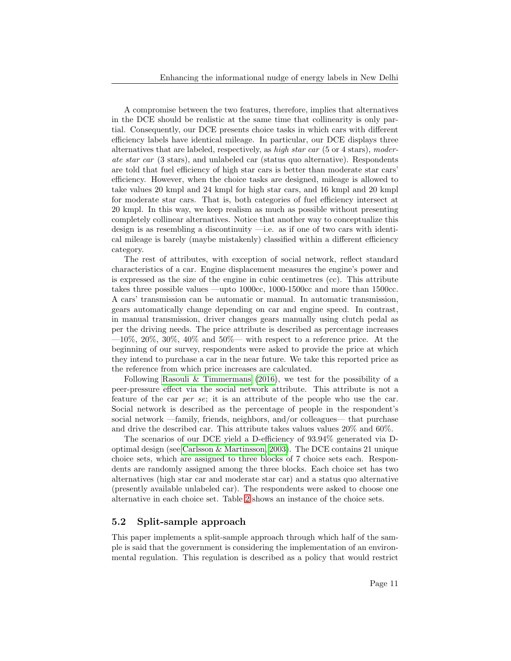A compromise between the two features, therefore, implies that alternatives in the DCE should be realistic at the same time that collinearity is only partial. Consequently, our DCE presents choice tasks in which cars with different efficiency labels have identical mileage. In particular, our DCE displays three alternatives that are labeled, respectively, as high star car (5 or 4 stars), moderate star car (3 stars), and unlabeled car (status quo alternative). Respondents are told that fuel efficiency of high star cars is better than moderate star cars' efficiency. However, when the choice tasks are designed, mileage is allowed to take values 20 kmpl and 24 kmpl for high star cars, and 16 kmpl and 20 kmpl for moderate star cars. That is, both categories of fuel efficiency intersect at 20 kmpl. In this way, we keep realism as much as possible without presenting completely collinear alternatives. Notice that another way to conceptualize this design is as resembling a discontinuity —i.e. as if one of two cars with identical mileage is barely (maybe mistakenly) classified within a different efficiency category.

The rest of attributes, with exception of social network, reflect standard characteristics of a car. Engine displacement measures the engine's power and is expressed as the size of the engine in cubic centimetres (cc). This attribute takes three possible values —upto 1000cc, 1000-1500cc and more than 1500cc. A cars' transmission can be automatic or manual. In automatic transmission, gears automatically change depending on car and engine speed. In contrast, in manual transmission, driver changes gears manually using clutch pedal as per the driving needs. The price attribute is described as percentage increases  $-10\%$ , 20%, 30%, 40% and 50%— with respect to a reference price. At the beginning of our survey, respondents were asked to provide the price at which they intend to purchase a car in the near future. We take this reported price as the reference from which price increases are calculated.

Following [Rasouli & Timmermans](#page-22-2)  $(2016)$ , we test for the possibility of a peer-pressure effect via the social network attribute. This attribute is not a feature of the car per se; it is an attribute of the people who use the car. Social network is described as the percentage of people in the respondent's social network —family, friends, neighbors, and/or colleagues— that purchase and drive the described car. This attribute takes values values 20% and 60%.

The scenarios of our DCE yield a D-efficiency of 93.94% generated via Doptimal design (see [Carlsson & Martinsson, 2003\)](#page-20-10). The DCE contains 21 unique choice sets, which are assigned to three blocks of 7 choice sets each. Respondents are randomly assigned among the three blocks. Each choice set has two alternatives (high star car and moderate star car) and a status quo alternative (presently available unlabeled car). The respondents were asked to choose one alternative in each choice set. Table [2](#page-24-0) shows an instance of the choice sets.

#### <span id="page-12-0"></span>5.2 Split-sample approach

This paper implements a split-sample approach through which half of the sample is said that the government is considering the implementation of an environmental regulation. This regulation is described as a policy that would restrict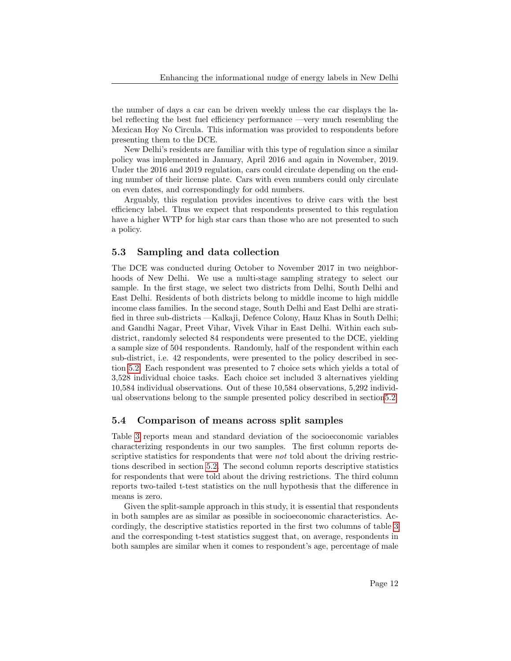the number of days a car can be driven weekly unless the car displays the label reflecting the best fuel efficiency performance —very much resembling the Mexican Hoy No Circula. This information was provided to respondents before presenting them to the DCE.

New Delhi's residents are familiar with this type of regulation since a similar policy was implemented in January, April 2016 and again in November, 2019. Under the 2016 and 2019 regulation, cars could circulate depending on the ending number of their license plate. Cars with even numbers could only circulate on even dates, and correspondingly for odd numbers.

Arguably, this regulation provides incentives to drive cars with the best efficiency label. Thus we expect that respondents presented to this regulation have a higher WTP for high star cars than those who are not presented to such a policy.

#### 5.3 Sampling and data collection

The DCE was conducted during October to November 2017 in two neighborhoods of New Delhi. We use a multi-stage sampling strategy to select our sample. In the first stage, we select two districts from Delhi, South Delhi and East Delhi. Residents of both districts belong to middle income to high middle income class families. In the second stage, South Delhi and East Delhi are stratified in three sub-districts —Kalkaji, Defence Colony, Hauz Khas in South Delhi; and Gandhi Nagar, Preet Vihar, Vivek Vihar in East Delhi. Within each subdistrict, randomly selected 84 respondents were presented to the DCE, yielding a sample size of 504 respondents. Randomly, half of the respondent within each sub-district, i.e. 42 respondents, were presented to the policy described in section [5.2.](#page-12-0) Each respondent was presented to 7 choice sets which yields a total of 3,528 individual choice tasks. Each choice set included 3 alternatives yielding 10,584 individual observations. Out of these 10,584 observations, 5,292 individual observations belong to the sample presented policy described in sectio[n5.2.](#page-12-0)

#### 5.4 Comparison of means across split samples

Table [3](#page-25-0) reports mean and standard deviation of the socioeconomic variables characterizing respondents in our two samples. The first column reports descriptive statistics for respondents that were not told about the driving restrictions described in section [5.2.](#page-12-0) The second column reports descriptive statistics for respondents that were told about the driving restrictions. The third column reports two-tailed t-test statistics on the null hypothesis that the difference in means is zero.

Given the split-sample approach in this study, it is essential that respondents in both samples are as similar as possible in socioeconomic characteristics. Accordingly, the descriptive statistics reported in the first two columns of table [3](#page-25-0) and the corresponding t-test statistics suggest that, on average, respondents in both samples are similar when it comes to respondent's age, percentage of male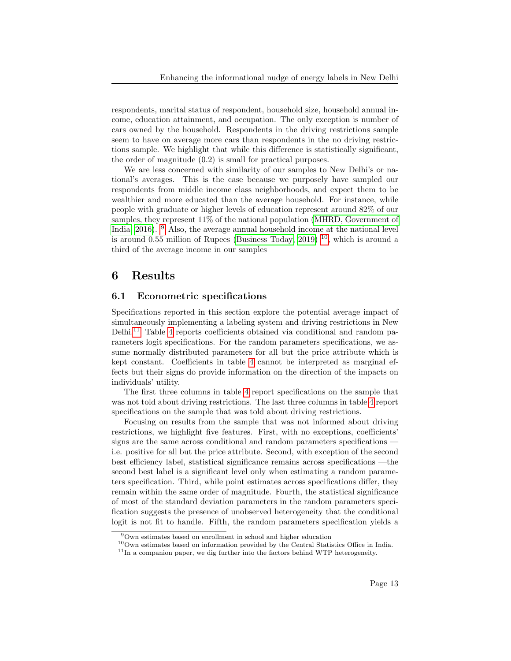respondents, marital status of respondent, household size, household annual income, education attainment, and occupation. The only exception is number of cars owned by the household. Respondents in the driving restrictions sample seem to have on average more cars than respondents in the no driving restrictions sample. We highlight that while this difference is statistically significant, the order of magnitude (0.2) is small for practical purposes.

We are less concerned with similarity of our samples to New Delhi's or national's averages. This is the case because we purposely have sampled our respondents from middle income class neighborhoods, and expect them to be wealthier and more educated than the average household. For instance, while people with graduate or higher levels of education represent around 82% of our samples, they represent 11% of the national population [\(MHRD, Government of](#page-21-10) [India, 2016\)](#page-21-10). <sup>[9](#page-14-0)</sup> Also, the average annual household income at the national level is around 0.55 million of Rupees [\(Business Today, 2019\)](#page-20-11)  $^{10}$  $^{10}$  $^{10}$ , which is around a third of the average income in our samples

## 6 Results

#### 6.1 Econometric specifications

Specifications reported in this section explore the potential average impact of simultaneously implementing a labeling system and driving restrictions in New Delhi.[11](#page-14-2) Table [4](#page-26-0) reports coefficients obtained via conditional and random parameters logit specifications. For the random parameters specifications, we assume normally distributed parameters for all but the price attribute which is kept constant. Coefficients in table [4](#page-26-0) cannot be interpreted as marginal effects but their signs do provide information on the direction of the impacts on individuals' utility.

The first three columns in table [4](#page-26-0) report specifications on the sample that was not told about driving restrictions. The last three columns in table [4](#page-26-0) report specifications on the sample that was told about driving restrictions.

Focusing on results from the sample that was not informed about driving restrictions, we highlight five features. First, with no exceptions, coefficients' signs are the same across conditional and random parameters specifications i.e. positive for all but the price attribute. Second, with exception of the second best efficiency label, statistical significance remains across specifications —the second best label is a significant level only when estimating a random parameters specification. Third, while point estimates across specifications differ, they remain within the same order of magnitude. Fourth, the statistical significance of most of the standard deviation parameters in the random parameters specification suggests the presence of unobserved heterogeneity that the conditional logit is not fit to handle. Fifth, the random parameters specification yields a

<span id="page-14-0"></span><sup>9</sup>Own estimates based on enrollment in school and higher education

<span id="page-14-1"></span> $10$ Own estimates based on information provided by the Central Statistics Office in India.

<span id="page-14-2"></span><sup>&</sup>lt;sup>11</sup>In a companion paper, we dig further into the factors behind WTP heterogeneity.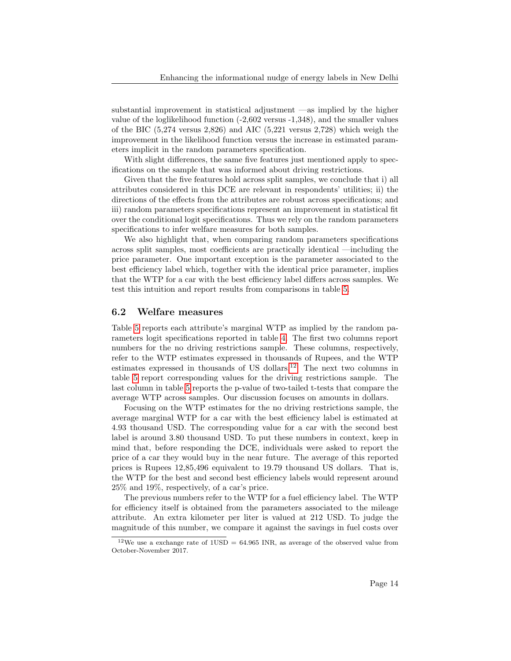substantial improvement in statistical adjustment —as implied by the higher value of the loglikelihood function (-2,602 versus -1,348), and the smaller values of the BIC  $(5.274 \text{ versus } 2.826)$  and AIC  $(5.221 \text{ versus } 2.728)$  which weigh the improvement in the likelihood function versus the increase in estimated parameters implicit in the random parameters specification.

With slight differences, the same five features just mentioned apply to specifications on the sample that was informed about driving restrictions.

Given that the five features hold across split samples, we conclude that i) all attributes considered in this DCE are relevant in respondents' utilities; ii) the directions of the effects from the attributes are robust across specifications; and iii) random parameters specifications represent an improvement in statistical fit over the conditional logit specifications. Thus we rely on the random parameters specifications to infer welfare measures for both samples.

We also highlight that, when comparing random parameters specifications across split samples, most coefficients are practically identical —including the price parameter. One important exception is the parameter associated to the best efficiency label which, together with the identical price parameter, implies that the WTP for a car with the best efficiency label differs across samples. We test this intuition and report results from comparisons in table [5.](#page-26-1)

#### 6.2 Welfare measures

Table [5](#page-26-1) reports each attribute's marginal WTP as implied by the random parameters logit specifications reported in table [4.](#page-26-0) The first two columns report numbers for the no driving restrictions sample. These columns, respectively, refer to the WTP estimates expressed in thousands of Rupees, and the WTP estimates expressed in thousands of US dollars.[12](#page-15-0) The next two columns in table [5](#page-26-1) report corresponding values for the driving restrictions sample. The last column in table [5](#page-26-1) reports the p-value of two-tailed t-tests that compare the average WTP across samples. Our discussion focuses on amounts in dollars.

Focusing on the WTP estimates for the no driving restrictions sample, the average marginal WTP for a car with the best efficiency label is estimated at 4.93 thousand USD. The corresponding value for a car with the second best label is around 3.80 thousand USD. To put these numbers in context, keep in mind that, before responding the DCE, individuals were asked to report the price of a car they would buy in the near future. The average of this reported prices is Rupees 12,85,496 equivalent to 19.79 thousand US dollars. That is, the WTP for the best and second best efficiency labels would represent around 25% and 19%, respectively, of a car's price.

The previous numbers refer to the WTP for a fuel efficiency label. The WTP for efficiency itself is obtained from the parameters associated to the mileage attribute. An extra kilometer per liter is valued at 212 USD. To judge the magnitude of this number, we compare it against the savings in fuel costs over

<span id="page-15-0"></span> $12\text{We}$  use a exchange rate of 1USD = 64.965 INR, as average of the observed value from October-November 2017.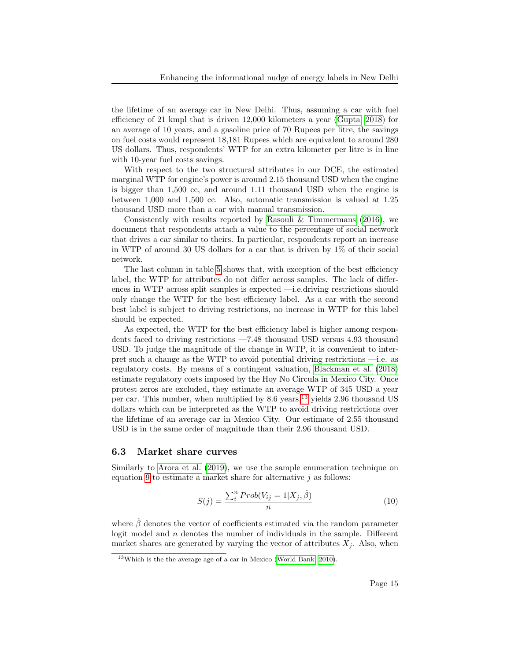the lifetime of an average car in New Delhi. Thus, assuming a car with fuel efficiency of 21 kmpl that is driven 12,000 kilometers a year [\(Gupta, 2018\)](#page-21-11) for an average of 10 years, and a gasoline price of 70 Rupees per litre, the savings on fuel costs would represent 18,181 Rupees which are equivalent to around 280 US dollars. Thus, respondents' WTP for an extra kilometer per litre is in line with 10-year fuel costs savings.

With respect to the two structural attributes in our DCE, the estimated marginal WTP for engine's power is around 2.15 thousand USD when the engine is bigger than 1,500 cc, and around 1.11 thousand USD when the engine is between 1,000 and 1,500 cc. Also, automatic transmission is valued at 1.25 thousand USD more than a car with manual transmission.

Consistently with results reported by [Rasouli & Timmermans](#page-22-2) [\(2016\)](#page-22-2), we document that respondents attach a value to the percentage of social network that drives a car similar to theirs. In particular, respondents report an increase in WTP of around 30 US dollars for a car that is driven by 1% of their social network.

The last column in table [5](#page-26-1) shows that, with exception of the best efficiency label, the WTP for attributes do not differ across samples. The lack of differences in WTP across split samples is expected —i.e.driving restrictions should only change the WTP for the best efficiency label. As a car with the second best label is subject to driving restrictions, no increase in WTP for this label should be expected.

As expected, the WTP for the best efficiency label is higher among respondents faced to driving restrictions —7.48 thousand USD versus 4.93 thousand USD. To judge the magnitude of the change in WTP, it is convenient to interpret such a change as the WTP to avoid potential driving restrictions —i.e. as regulatory costs. By means of a contingent valuation, [Blackman et al.](#page-19-3) [\(2018\)](#page-19-3) estimate regulatory costs imposed by the Hoy No Circula in Mexico City. Once protest zeros are excluded, they estimate an average WTP of 345 USD a year per car. This number, when multiplied by 8.6 years,<sup>[13](#page-16-0)</sup> yields 2.96 thousand US dollars which can be interpreted as the WTP to avoid driving restrictions over the lifetime of an average car in Mexico City. Our estimate of 2.55 thousand USD is in the same order of magnitude than their 2.96 thousand USD.

#### 6.3 Market share curves

Similarly to [Arora et al.](#page-19-10) [\(2019\)](#page-19-10), we use the sample enumeration technique on equation [9](#page-11-2) to estimate a market share for alternative  $j$  as follows:

$$
S(j) = \frac{\sum_{i}^{n} Prob(V_{ij} = 1 | X_j, \hat{\beta})}{n}
$$
\n(10)

where  $\hat{\beta}$  denotes the vector of coefficients estimated via the random parameter logit model and  $n$  denotes the number of individuals in the sample. Different market shares are generated by varying the vector of attributes  $X_j$ . Also, when

<span id="page-16-0"></span><sup>&</sup>lt;sup>13</sup>Which is the the average age of a car in Mexico [\(World Bank, 2010\)](#page-22-6).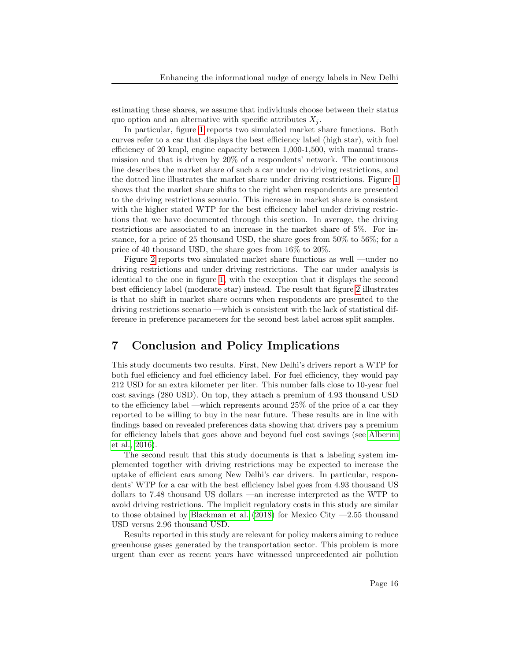estimating these shares, we assume that individuals choose between their status quo option and an alternative with specific attributes  $X_i$ .

In particular, figure [1](#page-27-0) reports two simulated market share functions. Both curves refer to a car that displays the best efficiency label (high star), with fuel efficiency of 20 kmpl, engine capacity between 1,000-1,500, with manual transmission and that is driven by 20% of a respondents' network. The continuous line describes the market share of such a car under no driving restrictions, and the dotted line illustrates the market share under driving restrictions. Figure [1](#page-27-0) shows that the market share shifts to the right when respondents are presented to the driving restrictions scenario. This increase in market share is consistent with the higher stated WTP for the best efficiency label under driving restrictions that we have documented through this section. In average, the driving restrictions are associated to an increase in the market share of 5%. For instance, for a price of 25 thousand USD, the share goes from 50% to 56%; for a price of 40 thousand USD, the share goes from 16% to 20%.

Figure [2](#page-28-0) reports two simulated market share functions as well —under no driving restrictions and under driving restrictions. The car under analysis is identical to the one in figure [1,](#page-27-0) with the exception that it displays the second best efficiency label (moderate star) instead. The result that figure [2](#page-28-0) illustrates is that no shift in market share occurs when respondents are presented to the driving restrictions scenario —which is consistent with the lack of statistical difference in preference parameters for the second best label across split samples.

## 7 Conclusion and Policy Implications

This study documents two results. First, New Delhi's drivers report a WTP for both fuel efficiency and fuel efficiency label. For fuel efficiency, they would pay 212 USD for an extra kilometer per liter. This number falls close to 10-year fuel cost savings (280 USD). On top, they attach a premium of 4.93 thousand USD to the efficiency label —which represents around 25% of the price of a car they reported to be willing to buy in the near future. These results are in line with findings based on revealed preferences data showing that drivers pay a premium for efficiency labels that goes above and beyond fuel cost savings (see [Alberini](#page-19-1) [et al., 2016\)](#page-19-1).

The second result that this study documents is that a labeling system implemented together with driving restrictions may be expected to increase the uptake of efficient cars among New Delhi's car drivers. In particular, respondents' WTP for a car with the best efficiency label goes from 4.93 thousand US dollars to 7.48 thousand US dollars —an increase interpreted as the WTP to avoid driving restrictions. The implicit regulatory costs in this study are similar to those obtained by [Blackman et al.](#page-19-3) [\(2018\)](#page-19-3) for Mexico City  $-2.55$  thousand USD versus 2.96 thousand USD.

Results reported in this study are relevant for policy makers aiming to reduce greenhouse gases generated by the transportation sector. This problem is more urgent than ever as recent years have witnessed unprecedented air pollution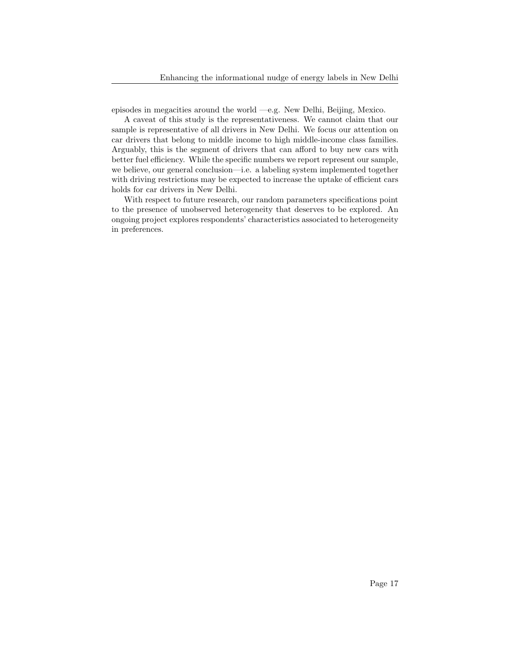episodes in megacities around the world —e.g. New Delhi, Beijing, Mexico.

A caveat of this study is the representativeness. We cannot claim that our sample is representative of all drivers in New Delhi. We focus our attention on car drivers that belong to middle income to high middle-income class families. Arguably, this is the segment of drivers that can afford to buy new cars with better fuel efficiency. While the specific numbers we report represent our sample, we believe, our general conclusion—i.e. a labeling system implemented together with driving restrictions may be expected to increase the uptake of efficient cars holds for car drivers in New Delhi.

With respect to future research, our random parameters specifications point to the presence of unobserved heterogeneity that deserves to be explored. An ongoing project explores respondents' characteristics associated to heterogeneity in preferences.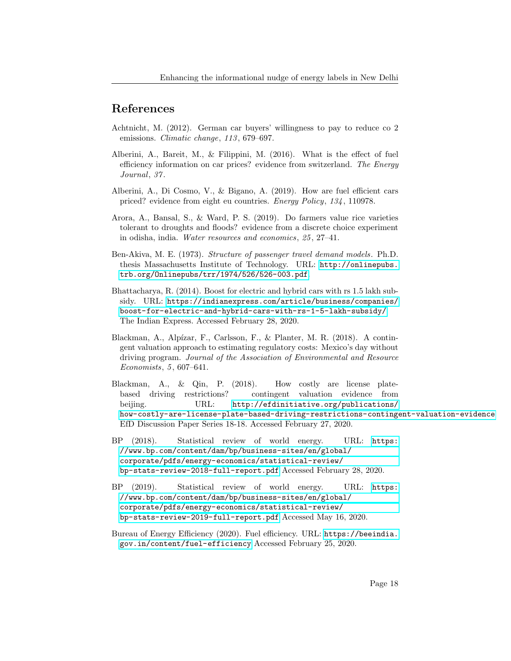## References

- <span id="page-19-6"></span>Achtnicht, M. (2012). German car buyers' willingness to pay to reduce co 2 emissions. *Climatic change*, 113, 679–697.
- <span id="page-19-1"></span>Alberini, A., Bareit, M., & Filippini, M. (2016). What is the effect of fuel efficiency information on car prices? evidence from switzerland. The Energy Journal, 37.
- <span id="page-19-4"></span>Alberini, A., Di Cosmo, V., & Bigano, A. (2019). How are fuel efficient cars priced? evidence from eight eu countries. Energy Policy, 134 , 110978.
- <span id="page-19-10"></span>Arora, A., Bansal, S., & Ward, P. S. (2019). Do farmers value rice varieties tolerant to droughts and floods? evidence from a discrete choice experiment in odisha, india. Water resources and economics, 25 , 27–41.
- <span id="page-19-9"></span>Ben-Akiva, M. E. (1973). Structure of passenger travel demand models. Ph.D. thesis Massachusetts Institute of Technology. URL: [http://onlinepubs.](http://onlinepubs.trb.org/Onlinepubs/trr/1974/526/526-003.pdf) [trb.org/Onlinepubs/trr/1974/526/526-003.pdf](http://onlinepubs.trb.org/Onlinepubs/trr/1974/526/526-003.pdf).
- <span id="page-19-2"></span>Bhattacharya, R. (2014). Boost for electric and hybrid cars with rs 1.5 lakh subsidy. URL: [https://indianexpress.com/article/business/companies/](https://indianexpress.com/article/business/companies/boost-for-electric-and-hybrid-cars-with-rs-1-5-lakh-subsidy/) [boost-for-electric-and-hybrid-cars-with-rs-1-5-lakh-subsidy/](https://indianexpress.com/article/business/companies/boost-for-electric-and-hybrid-cars-with-rs-1-5-lakh-subsidy/) The Indian Express. Accessed February 28, 2020.
- <span id="page-19-3"></span>Blackman, A., Alpízar, F., Carlsson, F., & Planter, M. R. (2018). A contingent valuation approach to estimating regulatory costs: Mexico's day without driving program. Journal of the Association of Environmental and Resource Economists, 5, 607–641.
- <span id="page-19-5"></span>Blackman, A., & Qin, P. (2018). How costly are license platebased driving restrictions? contingent valuation evidence from beijing. URL: [http://efdinitiative.org/publications/](http://efdinitiative.org/publications/how-costly-are-license-plate-based-driving-restrictions-contingent-valuation-evidence) [how-costly-are-license-plate-based-driving-restrictions-contingent-valuation-evidence](http://efdinitiative.org/publications/how-costly-are-license-plate-based-driving-restrictions-contingent-valuation-evidence) EfD Discussion Paper Series 18-18. Accessed February 27, 2020.
- <span id="page-19-7"></span>BP (2018). Statistical review of world energy. URL: [https:](https://www.bp.com/content/dam/bp/business-sites/en/global/corporate/pdfs/energy-economics/statistical-review/bp-stats-review-2018-full-report.pdf) [//www.bp.com/content/dam/bp/business-sites/en/global/](https://www.bp.com/content/dam/bp/business-sites/en/global/corporate/pdfs/energy-economics/statistical-review/bp-stats-review-2018-full-report.pdf) [corporate/pdfs/energy-economics/statistical-review/](https://www.bp.com/content/dam/bp/business-sites/en/global/corporate/pdfs/energy-economics/statistical-review/bp-stats-review-2018-full-report.pdf) [bp-stats-review-2018-full-report.pdf](https://www.bp.com/content/dam/bp/business-sites/en/global/corporate/pdfs/energy-economics/statistical-review/bp-stats-review-2018-full-report.pdf) Accessed February 28, 2020.
- <span id="page-19-0"></span>BP (2019). Statistical review of world energy. URL: [https:](https://www.bp.com/content/dam/bp/business-sites/en/global/corporate/pdfs/energy-economics/statistical-review/bp-stats-review-2019-full-report.pdf) [//www.bp.com/content/dam/bp/business-sites/en/global/](https://www.bp.com/content/dam/bp/business-sites/en/global/corporate/pdfs/energy-economics/statistical-review/bp-stats-review-2019-full-report.pdf) [corporate/pdfs/energy-economics/statistical-review/](https://www.bp.com/content/dam/bp/business-sites/en/global/corporate/pdfs/energy-economics/statistical-review/bp-stats-review-2019-full-report.pdf) [bp-stats-review-2019-full-report.pdf](https://www.bp.com/content/dam/bp/business-sites/en/global/corporate/pdfs/energy-economics/statistical-review/bp-stats-review-2019-full-report.pdf) Accessed May 16, 2020.
- <span id="page-19-8"></span>Bureau of Energy Efficiency (2020). Fuel efficiency. URL: [https://beeindia.](https://beeindia.gov.in/content/fuel-efficiency) [gov.in/content/fuel-efficiency](https://beeindia.gov.in/content/fuel-efficiency) Accessed February 25, 2020.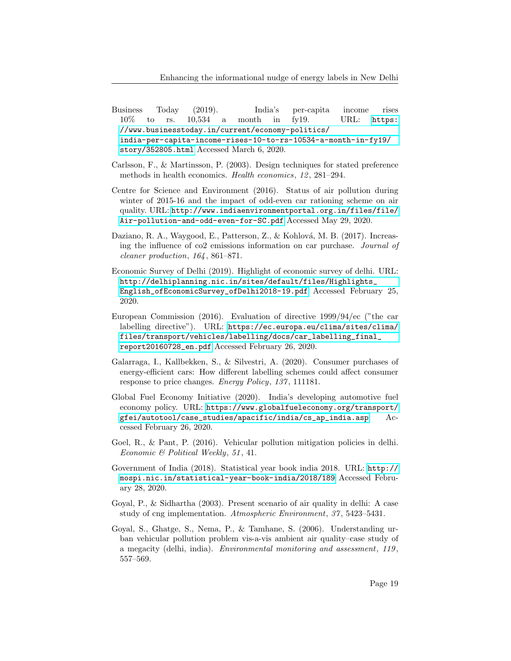- <span id="page-20-11"></span>Business Today (2019). India's per-capita income rises 10% to rs. 10,534 a month in fy19. URL: [https:](https://www.businesstoday.in/current/economy-politics/india-per-capita-income-rises-10-to-rs-10534-a-month-in-fy19/story/352805.html) [//www.businesstoday.in/current/economy-politics/](https://www.businesstoday.in/current/economy-politics/india-per-capita-income-rises-10-to-rs-10534-a-month-in-fy19/story/352805.html) [india-per-capita-income-rises-10-to-rs-10534-a-month-in-fy19/](https://www.businesstoday.in/current/economy-politics/india-per-capita-income-rises-10-to-rs-10534-a-month-in-fy19/story/352805.html) [story/352805.html](https://www.businesstoday.in/current/economy-politics/india-per-capita-income-rises-10-to-rs-10534-a-month-in-fy19/story/352805.html) Accessed March 6, 2020.
- <span id="page-20-10"></span>Carlsson, F., & Martinsson, P. (2003). Design techniques for stated preference methods in health economics. Health economics, 12, 281–294.
- <span id="page-20-4"></span>Centre for Science and Environment (2016). Status of air pollution during winter of 2015-16 and the impact of odd-even car rationing scheme on air quality. URL: [http://www.indiaenvironmentportal.org.in/files/file/](http://www.indiaenvironmentportal.org.in/files/file/Air-pollution-and-odd-even-for-SC.pdf) [Air-pollution-and-odd-even-for-SC.pdf](http://www.indiaenvironmentportal.org.in/files/file/Air-pollution-and-odd-even-for-SC.pdf) Accessed May 29, 2020.
- <span id="page-20-5"></span>Daziano, R. A., Waygood, E., Patterson, Z., & Kohlová, M. B. (2017). Increasing the influence of co2 emissions information on car purchase. Journal of cleaner production, 164 , 861–871.
- <span id="page-20-6"></span>Economic Survey of Delhi (2019). Highlight of economic survey of delhi. URL: [http://delhiplanning.nic.in/sites/default/files/Highlights\\_](http://delhiplanning.nic.in/sites/default/files/Highlights_English_ofEconomicSurvey_ofDelhi2018-19.pdf) [English\\_ofEconomicSurvey\\_ofDelhi2018-19.pdf](http://delhiplanning.nic.in/sites/default/files/Highlights_English_ofEconomicSurvey_ofDelhi2018-19.pdf) Accessed February 25, 2020.
- <span id="page-20-2"></span>European Commission (2016). Evaluation of directive 1999/94/ec ("the car labelling directive"). URL: [https://ec.europa.eu/clima/sites/clima/](https://ec.europa.eu/clima/sites/clima/files/transport/vehicles/labelling/docs/car_labelling_final_report20160728_en.pdf) [files/transport/vehicles/labelling/docs/car\\_labelling\\_final\\_](https://ec.europa.eu/clima/sites/clima/files/transport/vehicles/labelling/docs/car_labelling_final_report20160728_en.pdf) [report20160728\\_en.pdf](https://ec.europa.eu/clima/sites/clima/files/transport/vehicles/labelling/docs/car_labelling_final_report20160728_en.pdf) Accessed February 26, 2020.
- <span id="page-20-3"></span>Galarraga, I., Kallbekken, S., & Silvestri, A. (2020). Consumer purchases of energy-efficient cars: How different labelling schemes could affect consumer response to price changes. *Energy Policy*, 137, 111181.
- <span id="page-20-1"></span>Global Fuel Economy Initiative (2020). India's developing automotive fuel economy policy. URL: [https://www.globalfueleconomy.org/transport/](https://www.globalfueleconomy.org/transport/gfei/autotool/case_studies/apacific/india/cs_ap_india.asp) [gfei/autotool/case\\_studies/apacific/india/cs\\_ap\\_india.asp](https://www.globalfueleconomy.org/transport/gfei/autotool/case_studies/apacific/india/cs_ap_india.asp) Accessed February 26, 2020.
- <span id="page-20-9"></span>Goel, R., & Pant, P. (2016). Vehicular pollution mitigation policies in delhi. Economic & Political Weekly, 51, 41.
- <span id="page-20-7"></span>Government of India (2018). Statistical year book india 2018. URL: [http://](http://mospi.nic.in/statistical-year-book-india/2018/189) [mospi.nic.in/statistical-year-book-india/2018/189](http://mospi.nic.in/statistical-year-book-india/2018/189) Accessed February 28, 2020.
- <span id="page-20-8"></span>Goyal, P., & Sidhartha (2003). Present scenario of air quality in delhi: A case study of cng implementation. Atmospheric Environment, 37 , 5423–5431.
- <span id="page-20-0"></span>Goyal, S., Ghatge, S., Nema, P., & Tamhane, S. (2006). Understanding urban vehicular pollution problem vis-a-vis ambient air quality–case study of a megacity (delhi, india). Environmental monitoring and assessment, 119 , 557–569.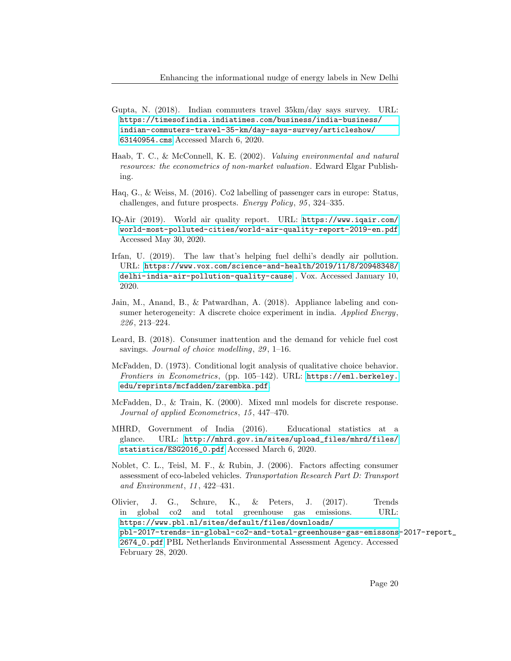- <span id="page-21-11"></span>Gupta, N. (2018). Indian commuters travel 35km/day says survey. URL: [https://timesofindia.indiatimes.com/business/india-business/](https://timesofindia.indiatimes.com/business/india-business/indian-commuters-travel-35-km/day-says-survey/articleshow/63140954.cms) [indian-commuters-travel-35-km/day-says-survey/articleshow/](https://timesofindia.indiatimes.com/business/india-business/indian-commuters-travel-35-km/day-says-survey/articleshow/63140954.cms) [63140954.cms](https://timesofindia.indiatimes.com/business/india-business/indian-commuters-travel-35-km/day-says-survey/articleshow/63140954.cms) Accessed March 6, 2020.
- <span id="page-21-8"></span>Haab, T. C., & McConnell, K. E. (2002). Valuing environmental and natural resources: the econometrics of non-market valuation. Edward Elgar Publishing.
- <span id="page-21-0"></span>Haq, G., & Weiss, M. (2016). Co2 labelling of passenger cars in europe: Status, challenges, and future prospects. Energy Policy, 95, 324-335.
- <span id="page-21-1"></span>IQ-Air (2019). World air quality report. URL: [https://www.iqair.com/](https://www.iqair.com/world-most-polluted-cities/world-air-quality-report-2019-en.pdf) [world-most-polluted-cities/world-air-quality-report-2019-en.pdf](https://www.iqair.com/world-most-polluted-cities/world-air-quality-report-2019-en.pdf) Accessed May 30, 2020.
- <span id="page-21-2"></span>Irfan, U. (2019). The law that's helping fuel delhi's deadly air pollution. URL: [https://www.vox.com/science-and-health/2019/11/8/20948348/](https://www.vox.com/science-and-health/2019/11/8/20948348/delhi-india-air-pollution-quality-cause) [delhi-india-air-pollution-quality-cause](https://www.vox.com/science-and-health/2019/11/8/20948348/delhi-india-air-pollution-quality-cause) . Vox. Accessed January 10, 2020.
- <span id="page-21-4"></span>Jain, M., Anand, B., & Patwardhan, A. (2018). Appliance labeling and consumer heterogeneity: A discrete choice experiment in india. Applied Energy, 226 , 213–224.
- <span id="page-21-5"></span>Leard, B. (2018). Consumer inattention and the demand for vehicle fuel cost savings. Journal of choice modelling, 29, 1–16.
- <span id="page-21-7"></span>McFadden, D. (1973). Conditional logit analysis of qualitative choice behavior. Frontiers in Econometrics, (pp. 105–142). URL: [https://eml.berkeley.](https://eml.berkeley.edu/reprints/mcfadden/zarembka.pdf) [edu/reprints/mcfadden/zarembka.pdf](https://eml.berkeley.edu/reprints/mcfadden/zarembka.pdf).
- <span id="page-21-9"></span>McFadden, D., & Train, K. (2000). Mixed mnl models for discrete response. Journal of applied Econometrics, 15 , 447–470.
- <span id="page-21-10"></span>MHRD, Government of India (2016). Educational statistics at a glance. URL: [http://mhrd.gov.in/sites/upload\\_files/mhrd/files/](http://mhrd.gov.in/sites/upload_files/mhrd/files/statistics/ESG2016_0.pdf) [statistics/ESG2016\\_0.pdf](http://mhrd.gov.in/sites/upload_files/mhrd/files/statistics/ESG2016_0.pdf) Accessed March 6, 2020.
- <span id="page-21-3"></span>Noblet, C. L., Teisl, M. F., & Rubin, J. (2006). Factors affecting consumer assessment of eco-labeled vehicles. Transportation Research Part D: Transport and Environment, 11 , 422–431.
- <span id="page-21-6"></span>Olivier, J. G., Schure, K., & Peters, J. (2017). Trends in global co2 and total greenhouse gas emissions. URL: [https://www.pbl.nl/sites/default/files/downloads/](https://www.pbl.nl/sites/default/files/downloads/pbl-2017-trends-in-global-co2-and-total-greenhouse-gas-emissons-2017-report_2674_0.pdf) [pbl-2017-trends-in-global-co2-and-total-greenhouse-gas-emissons](https://www.pbl.nl/sites/default/files/downloads/pbl-2017-trends-in-global-co2-and-total-greenhouse-gas-emissons-2017-report_2674_0.pdf)-2017-report\_ [2674\\_0.pdf](https://www.pbl.nl/sites/default/files/downloads/pbl-2017-trends-in-global-co2-and-total-greenhouse-gas-emissons-2017-report_2674_0.pdf) PBL Netherlands Environmental Assessment Agency. Accessed February 28, 2020.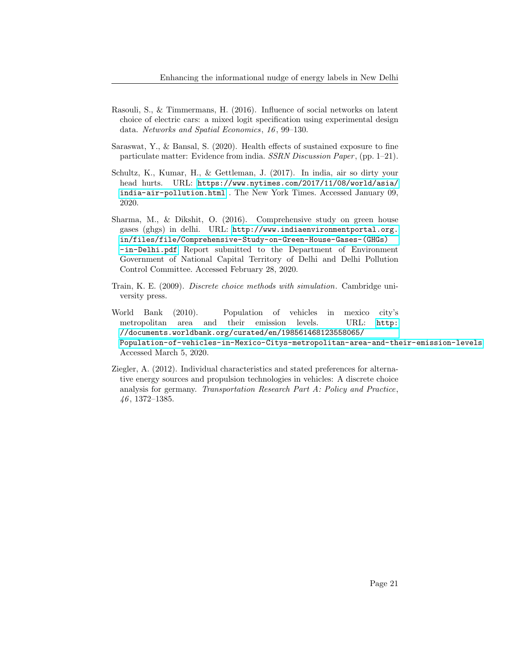- <span id="page-22-2"></span>Rasouli, S., & Timmermans, H. (2016). Influence of social networks on latent choice of electric cars: a mixed logit specification using experimental design data. Networks and Spatial Economics, 16 , 99–130.
- <span id="page-22-1"></span>Saraswat, Y., & Bansal, S. (2020). Health effects of sustained exposure to fine particulate matter: Evidence from india. SSRN Discussion Paper, (pp. 1–21).
- <span id="page-22-0"></span>Schultz, K., Kumar, H., & Gettleman, J. (2017). In india, air so dirty your head hurts. URL: [https://www.nytimes.com/2017/11/08/world/asia/](https://www.nytimes.com/2017/11/08/world/asia/india-air-pollution.html) [india-air-pollution.html](https://www.nytimes.com/2017/11/08/world/asia/india-air-pollution.html) . The New York Times. Accessed January 09, 2020.
- <span id="page-22-4"></span>Sharma, M., & Dikshit, O. (2016). Comprehensive study on green house gases (ghgs) in delhi. URL: [http://www.indiaenvironmentportal.org.](http://www.indiaenvironmentportal.org.in/files/file/Comprehensive-Study-on-Green-House-Gases-(GHGs)-in-Delhi.pdf) [in/files/file/Comprehensive-Study-on-Green-House-Gases-\(GHGs\)](http://www.indiaenvironmentportal.org.in/files/file/Comprehensive-Study-on-Green-House-Gases-(GHGs)-in-Delhi.pdf) [-in-Delhi.pdf](http://www.indiaenvironmentportal.org.in/files/file/Comprehensive-Study-on-Green-House-Gases-(GHGs)-in-Delhi.pdf) Report submitted to the Department of Environment Government of National Capital Territory of Delhi and Delhi Pollution Control Committee. Accessed February 28, 2020.
- <span id="page-22-5"></span>Train, K. E. (2009). Discrete choice methods with simulation. Cambridge university press.
- <span id="page-22-6"></span>World Bank (2010). Population of vehicles in mexico city's metropolitan area and their emission levels. URL: [http:](http://documents.worldbank.org/curated/en/198561468123558065/Population-of-vehicles-in-Mexico-Citys-metropolitan-area-and-their-emission-levels) [//documents.worldbank.org/curated/en/198561468123558065/](http://documents.worldbank.org/curated/en/198561468123558065/Population-of-vehicles-in-Mexico-Citys-metropolitan-area-and-their-emission-levels) [Population-of-vehicles-in-Mexico-Citys-metropolitan-area-and-their-emission-levels](http://documents.worldbank.org/curated/en/198561468123558065/Population-of-vehicles-in-Mexico-Citys-metropolitan-area-and-their-emission-levels) Accessed March 5, 2020.
- <span id="page-22-3"></span>Ziegler, A. (2012). Individual characteristics and stated preferences for alternative energy sources and propulsion technologies in vehicles: A discrete choice analysis for germany. Transportation Research Part A: Policy and Practice, 46 , 1372–1385.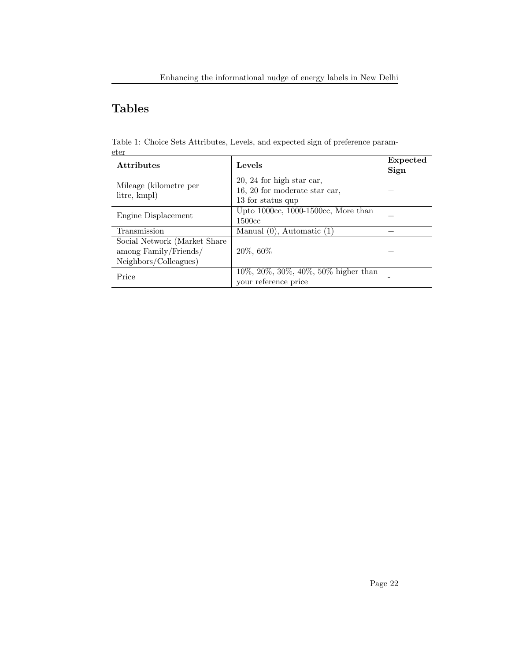## Tables

<span id="page-23-0"></span>Table 1: Choice Sets Attributes, Levels, and expected sign of preference parameter

| <b>Attributes</b>             | Levels                                     | Expected<br>Sign |  |
|-------------------------------|--------------------------------------------|------------------|--|
| Mileage (kilometre per        | $20, 24$ for high star car,                |                  |  |
| litre, kmpl)                  | 16, 20 for moderate star car,              | $^+$             |  |
|                               | 13 for status qup                          |                  |  |
| Engine Displacement           | Upto $1000cc$ , $1000-1500cc$ , More than  |                  |  |
|                               | 1500cc                                     | $^+$             |  |
| Transmission                  | Manual $(0)$ , Automatic $(1)$             | 十                |  |
| Social Network (Market Share) |                                            |                  |  |
| among Family/Friends/         | 20\%, 60\%                                 | $^+$             |  |
| Neighbors/Colleagues)         |                                            |                  |  |
| Price                         | $10\%, 20\%, 30\%, 40\%, 50\%$ higher than |                  |  |
|                               | your reference price                       |                  |  |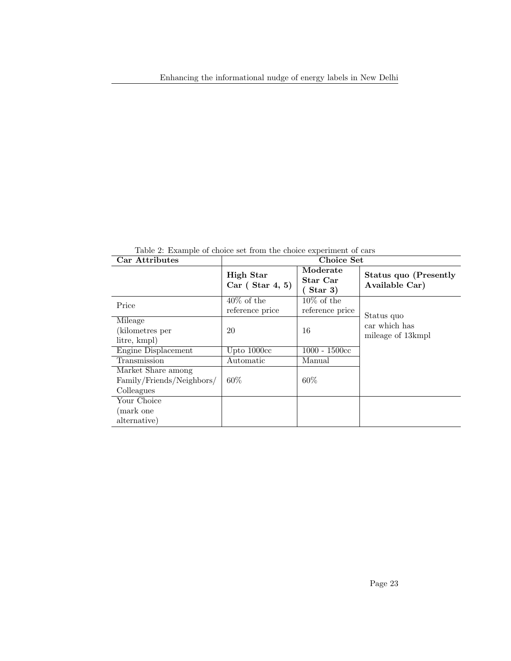Car Attributes Choice Set High Star Car ( Star 4, 5) Moderate Star Car ( Star 3) Status quo (Presently Available Car) Price  $\frac{40\% \text{ of the}}{5}$ reference price 10% of the reference price Status quo car which has mileage of 13kmpl Mileage (kilometres per litre, kmpl) 20 16 Engine Displacement Upto 1000cc 1000 - 1500cc Transmission Automatic Manual Market Share among Family/Friends/Neighbors/ Colleagues 60% 60% Your Choice (mark one alternative)

<span id="page-24-0"></span>Table 2: Example of choice set from the choice experiment of cars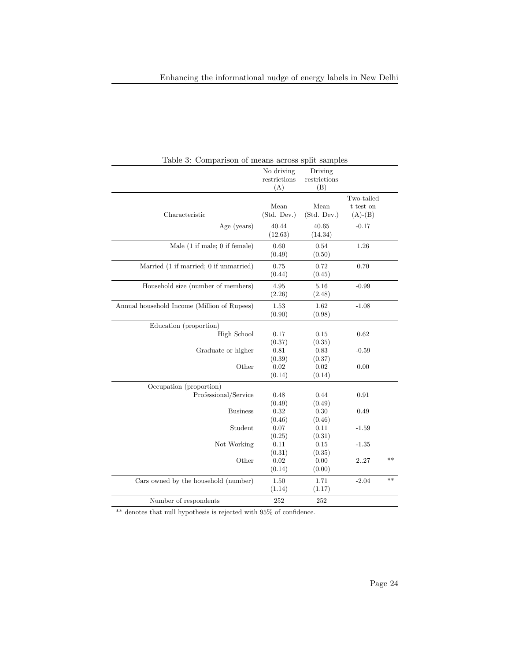| Table 3: Comparison of means across split samples |              |              |                     |      |
|---------------------------------------------------|--------------|--------------|---------------------|------|
|                                                   | No driving   | Driving      |                     |      |
|                                                   | restrictions | restrictions |                     |      |
|                                                   | (A)          | (B)          |                     |      |
|                                                   |              |              | Two-tailed          |      |
|                                                   | Mean         | Mean         | $\mathbf t$ test on |      |
| Characteristic                                    | (Std. Dev.)  | (Std. Dev.)  | $(A)$ - $(B)$       |      |
| Age (years)                                       | 40.44        | 40.65        | $-0.17$             |      |
|                                                   | (12.63)      | (14.34)      |                     |      |
| Male $(1$ if male; 0 if female)                   | 0.60         | 0.54         | 1.26                |      |
|                                                   | (0.49)       | (0.50)       |                     |      |
| Married (1 if married; 0 if unmarried)            | 0.75         | 0.72         | 0.70                |      |
|                                                   | (0.44)       | (0.45)       |                     |      |
| Household size (number of members)                | 4.95         | 5.16         | $-0.99$             |      |
|                                                   | (2.26)       | (2.48)       |                     |      |
| Annual household Income (Million of Rupees)       | 1.53         | 1.62         | $-1.08$             |      |
|                                                   | (0.90)       | (0.98)       |                     |      |
| Education (proportion)                            |              |              |                     |      |
| High School                                       | 0.17         | 0.15         | 0.62                |      |
|                                                   | (0.37)       | (0.35)       |                     |      |
| Graduate or higher                                | 0.81         | 0.83         | $-0.59$             |      |
|                                                   | (0.39)       | (0.37)       |                     |      |
| Other                                             | 0.02         | 0.02         | 0.00                |      |
|                                                   | (0.14)       | (0.14)       |                     |      |
| Occupation (proportion)                           |              |              |                     |      |
| Professional/Service                              | 0.48         | 0.44         | 0.91                |      |
|                                                   | (0.49)       | (0.49)       |                     |      |
| <b>Business</b>                                   | 0.32         | 0.30         | 0.49                |      |
|                                                   | (0.46)       | (0.46)       |                     |      |
| Student                                           | 0.07         | 0.11         | $-1.59$             |      |
|                                                   | (0.25)       | (0.31)       |                     |      |
| Not Working                                       | 0.11         | 0.15         | $-1.35$             |      |
|                                                   | (0.31)       | (0.35)       |                     |      |
| Other                                             | 0.02         | 0.00         | 227                 | $**$ |
|                                                   | (0.14)       | (0.00)       |                     |      |
| Cars owned by the household (number)              | 1.50         | 1.71         | $-2.04$             | $**$ |
|                                                   | (1.14)       | (1.17)       |                     |      |
| Number of respondents                             | 252          | 252          |                     |      |

<span id="page-25-0"></span>Table 3: Comparison of means across split samples

 $\overline{\phantom{a}^*}$  denotes that null hypothesis is rejected with  $95\%$  of confidence.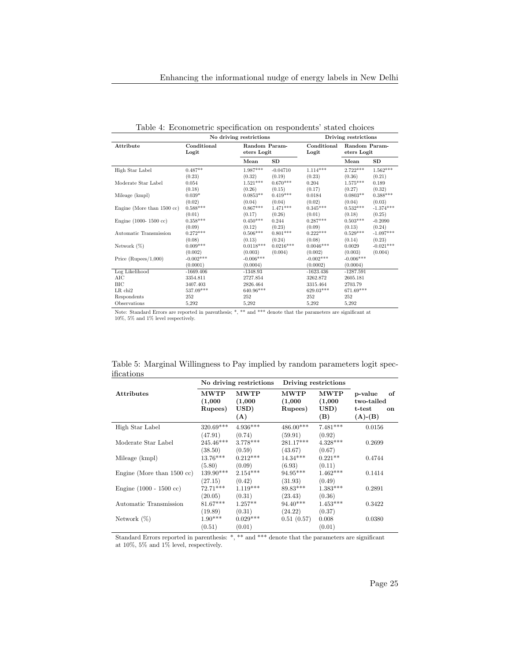|                                       | No driving restrictions |                              |             | Driving restrictions |                              |             |  |
|---------------------------------------|-------------------------|------------------------------|-------------|----------------------|------------------------------|-------------|--|
| Attribute                             | Conditional<br>Logit    | Random Param-<br>eters Logit |             | Conditional<br>Logit | Random Param-<br>eters Logit |             |  |
|                                       |                         | Mean                         | SD          |                      | Mean                         | SD          |  |
| High Star Label                       | $0.487**$               | $1.987***$                   | $-0.04710$  | $1.114***$           | $2.722***$                   | $1.562***$  |  |
|                                       | (0.23)                  | (0.32)                       | (0.19)      | (0.23)               | (0.36)                       | (0.21)      |  |
| Moderate Star Label                   | 0.054                   | $1.521***$                   | $0.670***$  | 0.204                | $1.575***$                   | 0.189       |  |
|                                       | (0.18)                  | (0.26)                       | (0.15)      | (0.17)               | (0.27)                       | (0.32)      |  |
| Mileage (kmpl)                        | $0.039*$                | $0.0853**$                   | $0.419***$  | 0.0184               | $0.0803**$                   | $0.388***$  |  |
|                                       | (0.02)                  | (0.04)                       | (0.04)      | (0.02)               | (0.04)                       | (0.03)      |  |
| Engine (More than $1500 \text{ cc}$ ) | $0.588***$              | $0.867***$                   | $1.471***$  | $0.345***$           | $0.532***$                   | $-1.374***$ |  |
|                                       | (0.01)                  | (0.17)                       | (0.26)      | (0.01)               | (0.18)                       | (0.25)      |  |
| Engine $(1000 - 1500 \text{ cc})$     | $0.358***$              | $0.450***$                   | 0.244       | $0.287***$           | $0.503***$                   | $-0.2090$   |  |
|                                       | (0.09)                  | (0.12)                       | (0.23)      | (0.09)               | (0.13)                       | (0.24)      |  |
| Automatic Transmission                | $0.272***$              | $0.506***$                   | $0.801***$  | $0.222***$           | $0.529***$                   | $-1.097***$ |  |
|                                       | (0.08)                  | (0.13)                       | (0.24)      | (0.08)               | (0.14)                       | (0.23)      |  |
| Network $(\%)$                        | $0.009***$              | $0.0118***$                  | $0.0216***$ | $0.0046***$          | 0.0029                       | $-0.021***$ |  |
|                                       | (0.002)                 | (0.003)                      | (0.004)     | (0.002)              | (0.003)                      | (0.004)     |  |
| Price $(Rupees/1,000)$                | $-0.002***$             | $-0.006***$                  |             | $-0.002***$          | $-0.006***$                  |             |  |
|                                       | (0.0001)                | (0.0004)                     |             | (0.0002)             | (0.0004)                     |             |  |
| Log Likelihood                        | $-1669.406$             | $-1348.93$                   |             | $-1623.436$          | $-1287.591$                  |             |  |
| AIC                                   | 3354.811                | 2727.854                     |             | 3262.872             | 2605.181                     |             |  |
| BIC                                   | 3407.403                | 2826.464                     |             | 3315.464             | 2703.79                      |             |  |
| $LR$ chi $2$                          | 537.09***               | 640.96***                    |             | $629.03***$          | 671.69***                    |             |  |
| Respondents                           | 252                     | 252                          |             | 252                  | 252                          |             |  |
| Observations                          | 5,292                   | 5,292                        |             | 5,292                | 5,292                        |             |  |

<span id="page-26-0"></span>Table 4: Econometric specification on respondents' stated choices

Note: Standard Errors are reported in parenthesis; \*, \*\* and \*\*\* denote that the parameters are significant at 10%, 5% and 1% level respectively.

<span id="page-26-1"></span>

|            | Table 5: Marginal Willingness to Pay implied by random parameters logit spec- |  |  |  |
|------------|-------------------------------------------------------------------------------|--|--|--|
| ifications |                                                                               |  |  |  |

|                                       |                                   | No driving restrictions               | Driving restrictions              |                                       |                                                                     |
|---------------------------------------|-----------------------------------|---------------------------------------|-----------------------------------|---------------------------------------|---------------------------------------------------------------------|
| <b>Attributes</b>                     | <b>MWTP</b><br>(1,000)<br>Rupees) | <b>MWTP</b><br>(1,000)<br>USD)<br>(A) | <b>MWTP</b><br>(1,000)<br>Rupees) | <b>MWTP</b><br>(1,000)<br>USD)<br>(B) | p-value<br>of<br>two-tailed<br>t-test<br><b>on</b><br>$(A)$ - $(B)$ |
| High Star Label                       | 320.69***                         | $4.936***$                            | $486.00***$                       | $7.481***$                            | 0.0156                                                              |
| Moderate Star Label                   | (47.91)<br>245.46***              | (0.74)<br>$3.778***$                  | (59.91)<br>281.17***              | (0.92)<br>$4.328***$                  | 0.2699                                                              |
| Mileage (kmpl)                        | (38.50)<br>$13.76***$             | (0.59)<br>$0.212***$                  | (43.67)<br>$14.34***$             | (0.67)<br>$0.221**$                   | 0.4744                                                              |
| Engine (More than $1500 \text{ cc}$ ) | (5.80)<br>139.90***               | (0.09)<br>$2.154***$                  | (6.93)<br>94.95***                | (0.11)<br>$1.462***$                  | 0.1414                                                              |
| Engine $(1000 - 1500 \text{ cc})$     | (27.15)<br>$72.71***$             | (0.42)<br>$1.119***$                  | (31.93)<br>89.83***               | (0.49)<br>$1.383***$                  | 0.2891                                                              |
| Automatic Transmission                | (20.05)<br>$81.67***$             | (0.31)<br>$1.257**$                   | (23.43)<br>$94.40***$             | (0.36)<br>$1.453***$                  | 0.3422                                                              |
|                                       | (19.89)                           | (0.31)                                | (24.22)                           | (0.37)                                |                                                                     |
| Network $(\%)$                        | $1.90***$<br>(0.51)               | $0.029***$<br>(0.01)                  | 0.51(0.57)                        | 0.008<br>(0.01)                       | 0.0380                                                              |

Standard Errors reported in parenthesis: \*, \*\* and \*\*\* denote that the parameters are significant at 10%, 5% and 1% level, respectively.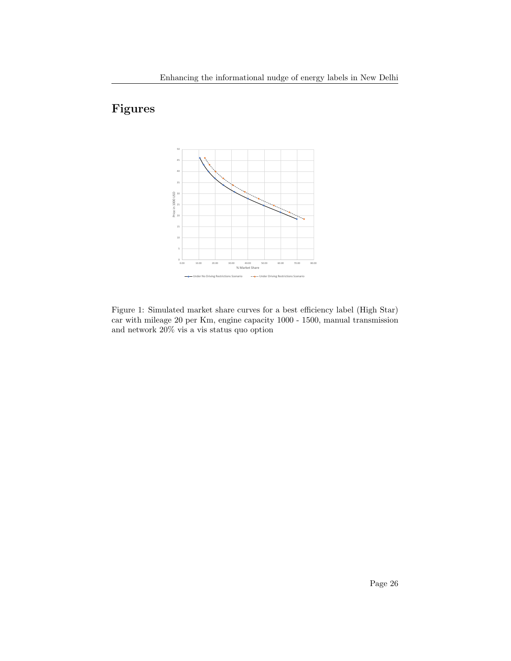## Figures



<span id="page-27-0"></span>Figure 1: Simulated market share curves for a best efficiency label (High Star) car with mileage 20 per Km, engine capacity 1000 - 1500, manual transmission and network 20% vis a vis status quo option